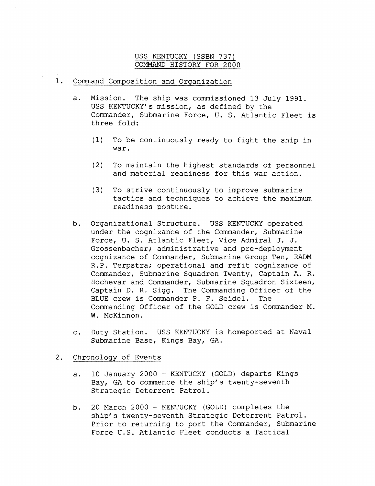## USS KENTUCKY (SSBN 737)<br>COMMAND HISTORY FOR 2000

## 1. Command Composition and Organization

- a. Mission. The ship was commissioned 13 July 1991. USS KENTUCKY'S mission, as defined by the Commander, Submarine Force, U. S. Atlantic Fleet is three fold:
	- (1) To be continuously ready to fight the ship in war.
	- (2) To maintain the highest standards of personnel and material readiness for this war action.
	- (3) To strive continuously to improve submarine tactics and techniques to achieve the maximum readiness posture.
- Organizational Structure. USS KENTUCKY operated b. under the cognizance of the Commander, Submarine Force, U. S. Atlantic Fleet, Vice Admiral J. J. Grossenbacher; administrative and pre-deployment cognizance of Commander, Submarine Group Ten, RADM R.P. Terpstra; operational and refit cognizance of Commander, Submarine Squadron Twenty, Captain A. R. Hochevar and Commander, Submarine Squadron Sixteen, Captain D. R. Sigg. The Commanding Officer of the BLUE crew is Commander P. F. Seidel. The Commanding Officer of the GOLD crew is Commander M. W. McKinnon.
- c. Duty Station. USS KENTUCKY is homeported at Naval Submarine Base, Kings Bay, GA.

## 2. Chronology of Events

- a. 10 January 2000 KENTUCKY (GOLD) departs Kings Bay, GA to commence the ship's twenty-seventh Strategic Deterrent Patrol.
- b. 20 March 2000 KENTUCKY (GOLD) completes the ship's twenty-seventh Strategic Deterrent Patrol. Prior to returning to port the Commander, Submarine Force U.S. Atlantic Fleet conducts a Tactical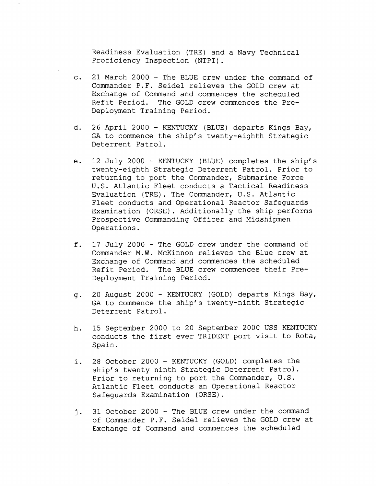Readiness Evaluation (TRE) and a Navy Technical Proficiency Inspection (NTPI).

- 21 March 2000 The BLUE crew under the command of  $\mathsf{c}$ . Commander P.F. Seidel relieves the GOLD crew at Exchange of Command and commences the scheduled Refit Period. The GOLD crew commences the Pre-Deployment Training Period.
- 26 April 2000 KENTUCKY (BLUE) departs Kings Bay, d. GA to commence the ship's twenty-eighth Strategic Deterrent Patrol.
- 12 July 2000 KENTUCKY (BLUE) completes the ship's e. twenty-eighth Strategic Deterrent Patrol. Prior to returning to port the Commander, Submarine Force U.S. Atlantic-Fleet conducts a Tactical Readiness Evaluation (TRE). The Commander, U.S. Atlantic Fleet conducts and Operational Reactor Safeguards Examination (ORSE). Additionally the ship performs Prospective Commanding Officer and Midshipmen Operations.
- f. 17 July 2000 - The GOLD crew under the command of Commander M.W. McKinnon relieves the Blue crew at Exchange of Command and commences the scheduled Refit Period, The BLUE crew commences their Pre-Deployment Training Period.
- 20 August 2000 KENTUCKY (GOLD) departs Kings Bay, q. GA to commence the ship's twenty-ninth Strategic Deterrent Patrol.
- 15 September 2000 to 20 September 2000 USS KENTUCKY h. conducts the first ever TRIDENT port visit to Rota, Spain.
- 28 October 2000 KENTUCKY (GOLD) completes the  $i$ . ship's twenty ninth Strategic Deterrent Patrol. Prior to returning to port the Commander, U.S. Atlantic Fleet conducts an Operational Reactor Safeguards Examination (ORSE).
- 31 October 2000 The BLUE crew under the command j. of Commander P.F. Seidel relieves the GOLD crew at Exchange of Command and commences the scheduled